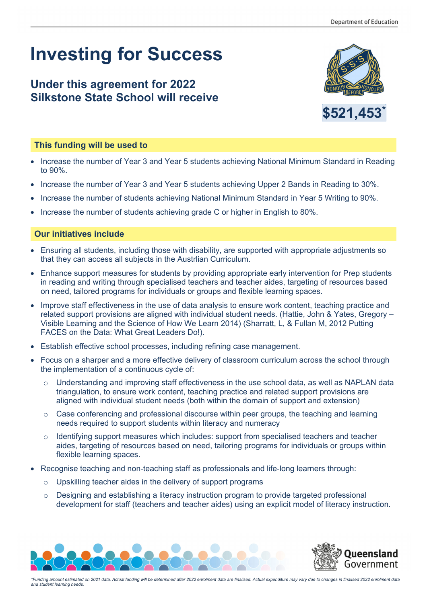## **Investing for Success**

## **Under this agreement for 2022 Silkstone State School will receive**





## **This funding will be used to**

- Increase the number of Year 3 and Year 5 students achieving National Minimum Standard in Reading to 90%.
- Increase the number of Year 3 and Year 5 students achieving Upper 2 Bands in Reading to 30%.
- Increase the number of students achieving National Minimum Standard in Year 5 Writing to 90%.
- Increase the number of students achieving grade C or higher in English to 80%.

## **Our initiatives include**

- Ensuring all students, including those with disability, are supported with appropriate adjustments so that they can access all subjects in the Austrlian Curriculum.
- Enhance support measures for students by providing appropriate early intervention for Prep students in reading and writing through specialised teachers and teacher aides, targeting of resources based on need, tailored programs for individuals or groups and flexible learning spaces.
- Improve staff effectiveness in the use of data analysis to ensure work content, teaching practice and related support provisions are aligned with individual student needs. (Hattie, John & Yates, Gregory – Visible Learning and the Science of How We Learn 2014) (Sharratt, L, & Fullan M, 2012 Putting FACES on the Data: What Great Leaders Do!).
- Establish effective school processes, including refining case management.
- Focus on a sharper and a more effective delivery of classroom curriculum across the school through the implementation of a continuous cycle of:
	- $\circ$  Understanding and improving staff effectiveness in the use school data, as well as NAPLAN data triangulation, to ensure work content, teaching practice and related support provisions are aligned with individual student needs (both within the domain of support and extension)
	- $\circ$  Case conferencing and professional discourse within peer groups, the teaching and learning needs required to support students within literacy and numeracy
	- $\circ$  Identifying support measures which includes: support from specialised teachers and teacher aides, targeting of resources based on need, tailoring programs for individuals or groups within flexible learning spaces.
- Recognise teaching and non-teaching staff as professionals and life-long learners through:
	- o Upskilling teacher aides in the delivery of support programs
	- $\circ$  Designing and establishing a literacy instruction program to provide targeted professional development for staff (teachers and teacher aides) using an explicit model of literacy instruction.